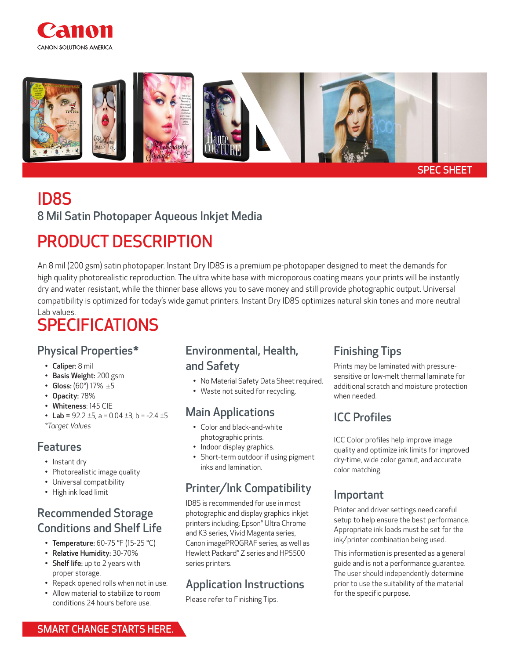



# ID8S

8 Mil Satin Photopaper Aqueous Inkjet Media

## PRODUCT DESCRIPTION

An 8 mil (200 gsm) satin photopaper. Instant Dry ID8S is a premium pe-photopaper designed to meet the demands for high quality photorealistic reproduction. The ultra white base with microporous coating means your prints will be instantly dry and water resistant, while the thinner base allows you to save money and still provide photographic output. Universal compatibility is optimized for today's wide gamut printers. Instant Dry ID8S optimizes natural skin tones and more neutral Lab values.

## SPECIFICATIONS

### Physical Properties\*

- Caliper: 8 mil
- Basis Weight: 200 gsm
- Gloss:  $(60^{\circ})$  17%  $\pm 5$
- Opacity: 78%
- Whiteness: 145 CIE
- Lab =  $92.2 \pm 5$ , a =  $0.04 \pm 3$ , b =  $-2.4 \pm 5$

*\*Target Values* 

#### Features

- Instant dry
- Photorealistic image quality
- Universal compatibility
- High ink load limit

### Recommended Storage Conditions and Shelf Life

- Temperature: 60-75 °F (15-25 °C)
- Relative Humidity: 30-70%
- Shelf life: up to 2 years with proper storage.
- Repack opened rolls when not in use. • Allow material to stabilize to room

conditions 24 hours before use.

### Environmental, Health, and Safety

- No Material Safety Data Sheet required.
- Waste not suited for recycling.

### Main Applications

- Color and black-and-white photographic prints.
- Indoor display graphics.
- Short-term outdoor if using pigment inks and lamination.

### Printer/Ink Compatibility

ID8S is recommended for use in most photographic and display graphics inkjet printers including: Epson® Ultra Chrome and K3 series, Vivid Magenta series, Canon imagePROGRAF series, as well as Hewlett Packard® Z series and HP5500 series printers.

### Application Instructions

Please refer to Finishing Tips.

### Finishing Tips

Prints may be laminated with pressuresensitive or low-melt thermal laminate for additional scratch and moisture protection when needed.

### ICC Profiles

ICC Color profiles help improve image quality and optimize ink limits for improved dry-time, wide color gamut, and accurate color matching.

### Important

Printer and driver settings need careful setup to help ensure the best performance. Appropriate ink loads must be set for the ink/printer combination being used.

This information is presented as a general guide and is not a performance guarantee. The user should independently determine prior to use the suitability of the material for the specific purpose.

SMART CHANGE STARTS HERE.